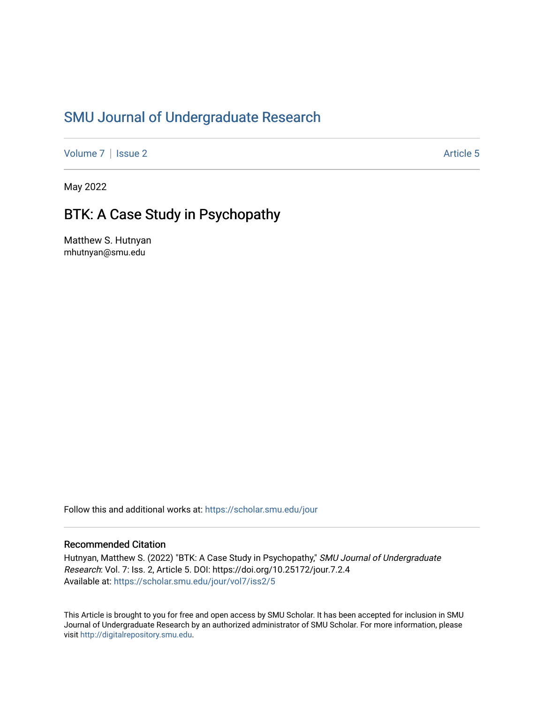# [SMU Journal of Undergraduate Research](https://scholar.smu.edu/jour)

[Volume 7](https://scholar.smu.edu/jour/vol7) | [Issue 2](https://scholar.smu.edu/jour/vol7/iss2) Article 5

May 2022

# BTK: A Case Study in Psychopathy

Matthew S. Hutnyan mhutnyan@smu.edu

Follow this and additional works at: [https://scholar.smu.edu/jour](https://scholar.smu.edu/jour?utm_source=scholar.smu.edu%2Fjour%2Fvol7%2Fiss2%2F5&utm_medium=PDF&utm_campaign=PDFCoverPages) 

#### Recommended Citation

Hutnyan, Matthew S. (2022) "BTK: A Case Study in Psychopathy," SMU Journal of Undergraduate Research: Vol. 7: Iss. 2, Article 5. DOI: https://doi.org/10.25172/jour.7.2.4 Available at: [https://scholar.smu.edu/jour/vol7/iss2/5](https://scholar.smu.edu/jour/vol7/iss2/5?utm_source=scholar.smu.edu%2Fjour%2Fvol7%2Fiss2%2F5&utm_medium=PDF&utm_campaign=PDFCoverPages) 

This Article is brought to you for free and open access by SMU Scholar. It has been accepted for inclusion in SMU Journal of Undergraduate Research by an authorized administrator of SMU Scholar. For more information, please visit [http://digitalrepository.smu.edu](http://digitalrepository.smu.edu/).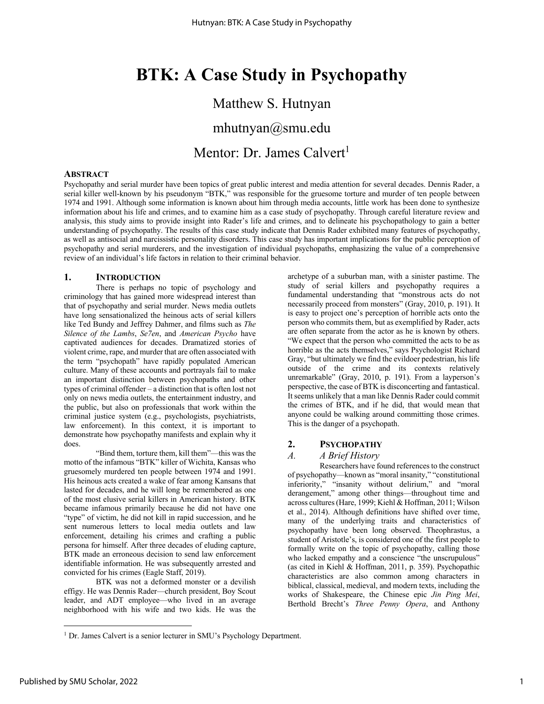# **BTK: A Case Study in Psychopathy**

# Matthew S. Hutnyan

mhutnyan@smu.edu

Mentor: Dr. James Calvert<sup>1</sup>

#### **ABSTRACT**

Psychopathy and serial murder have been topics of great public interest and media attention for several decades. Dennis Rader, a serial killer well-known by his pseudonym "BTK," was responsible for the gruesome torture and murder of ten people between 1974 and 1991. Although some information is known about him through media accounts, little work has been done to synthesize information about his life and crimes, and to examine him as a case study of psychopathy. Through careful literature review and analysis, this study aims to provide insight into Rader's life and crimes, and to delineate his psychopathology to gain a better understanding of psychopathy. The results of this case study indicate that Dennis Rader exhibited many features of psychopathy, as well as antisocial and narcissistic personality disorders. This case study has important implications for the public perception of psychopathy and serial murderers, and the investigation of individual psychopaths, emphasizing the value of a comprehensive review of an individual's life factors in relation to their criminal behavior.

#### **1. INTRODUCTION**

There is perhaps no topic of psychology and criminology that has gained more widespread interest than that of psychopathy and serial murder. News media outlets have long sensationalized the heinous acts of serial killers like Ted Bundy and Jeffrey Dahmer, and films such as *The Silence of the Lambs*, *Se7en*, and *American Psycho* have captivated audiences for decades. Dramatized stories of violent crime, rape, and murder that are often associated with the term "psychopath" have rapidly populated American culture. Many of these accounts and portrayals fail to make an important distinction between psychopaths and other types of criminal offender – a distinction that is often lost not only on news media outlets, the entertainment industry, and the public, but also on professionals that work within the criminal justice system (e.g., psychologists, psychiatrists, law enforcement). In this context, it is important to demonstrate how psychopathy manifests and explain why it does.

"Bind them, torture them, kill them"—this was the motto of the infamous "BTK" killer of Wichita, Kansas who gruesomely murdered ten people between 1974 and 1991. His heinous acts created a wake of fear among Kansans that lasted for decades, and he will long be remembered as one of the most elusive serial killers in American history. BTK became infamous primarily because he did not have one "type" of victim, he did not kill in rapid succession, and he sent numerous letters to local media outlets and law enforcement, detailing his crimes and crafting a public persona for himself. After three decades of eluding capture, BTK made an erroneous decision to send law enforcement identifiable information. He was subsequently arrested and convicted for his crimes (Eagle Staff, 2019).

BTK was not a deformed monster or a devilish effigy. He was Dennis Rader—church president, Boy Scout leader, and ADT employee—who lived in an average neighborhood with his wife and two kids. He was the archetype of a suburban man, with a sinister pastime. The study of serial killers and psychopathy requires a fundamental understanding that "monstrous acts do not necessarily proceed from monsters" (Gray, 2010, p. 191). It is easy to project one's perception of horrible acts onto the person who commits them, but as exemplified by Rader, acts are often separate from the actor as he is known by others. "We expect that the person who committed the acts to be as horrible as the acts themselves," says Psychologist Richard Gray, "but ultimately we find the evildoer pedestrian, his life outside of the crime and its contexts relatively unremarkable" (Gray, 2010, p. 191). From a layperson's perspective, the case of BTK is disconcerting and fantastical. It seems unlikely that a man like Dennis Rader could commit the crimes of BTK, and if he did, that would mean that anyone could be walking around committing those crimes. This is the danger of a psychopath.

#### **2. PSYCHOPATHY**

#### *A. A Brief History*

Researchers have found references to the construct of psychopathy—known as "moral insanity," "constitutional inferiority," "insanity without delirium," and "moral derangement," among other things—throughout time and across cultures (Hare, 1999; Kiehl & Hoffman, 2011; Wilson et al., 2014). Although definitions have shifted over time, many of the underlying traits and characteristics of psychopathy have been long observed. Theophrastus, a student of Aristotle's, is considered one of the first people to formally write on the topic of psychopathy, calling those who lacked empathy and a conscience "the unscrupulous" (as cited in Kiehl & Hoffman, 2011, p. 359). Psychopathic characteristics are also common among characters in biblical, classical, medieval, and modern texts, including the works of Shakespeare, the Chinese epic *Jin Ping Mei*, Berthold Brecht's *Three Penny Opera*, and Anthony

<sup>&</sup>lt;sup>1</sup> Dr. James Calvert is a senior lecturer in SMU's Psychology Department.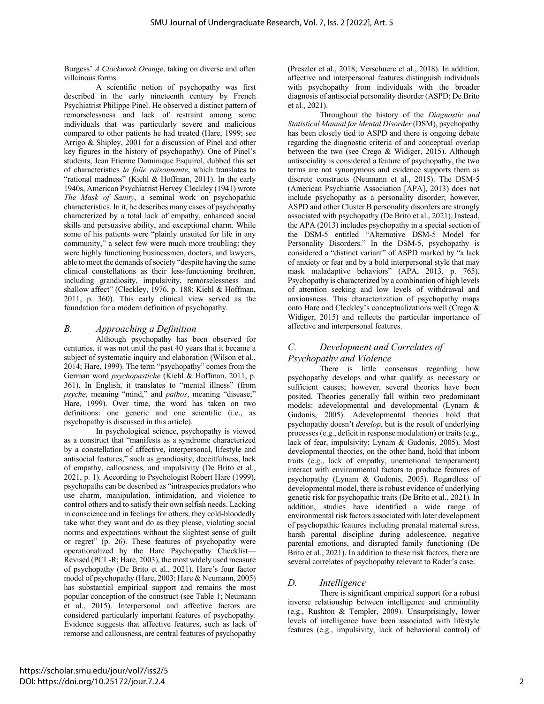Burgess' *A Clockwork Orange*, taking on diverse and often villainous forms.

A scientific notion of psychopathy was first described in the early nineteenth century by French Psychiatrist Philippe Pinel. He observed a distinct pattern of remorselessness and lack of restraint among some individuals that was particularly severe and malicious compared to other patients he had treated (Hare, 1999; see Arrigo & Shipley, 2001 for a discussion of Pinel and other key figures in the history of psychopathy). One of Pinel's students, Jean Etienne Dominique Esquirol, dubbed this set of characteristics *la folie raisonnante*, which translates to "rational madness" (Kiehl & Hoffman, 2011). In the early 1940s, American Psychiatrist Hervey Cleckley (1941) wrote *The Mask of Sanity*, a seminal work on psychopathic characteristics. In it, he describes many cases of psychopathy characterized by a total lack of empathy, enhanced social skills and persuasive ability, and exceptional charm. While some of his patients were "plainly unsuited for life in any community," a select few were much more troubling: they were highly functioning businessmen, doctors, and lawyers, able to meet the demands of society "despite having the same clinical constellations as their less-functioning brethren, including grandiosity, impulsivity, remorselessness and shallow affect" (Cleckley, 1976, p. 188; Kiehl & Hoffman, 2011, p. 360). This early clinical view served as the foundation for a modern definition of psychopathy.

#### *B. Approaching a Definition*

Although psychopathy has been observed for centuries, it was not until the past 40 years that it became a subject of systematic inquiry and elaboration (Wilson et al., 2014; Hare, 1999). The term "psychopathy" comes from the German word *psychopastiche* (Kiehl & Hoffman, 2011, p. 361). In English, it translates to "mental illness" (from *psyche*, meaning "mind," and *pathos*, meaning "disease;" Hare, 1999). Over time, the word has taken on two definitions: one generic and one scientific (i.e., as psychopathy is discussed in this article).

In psychological science, psychopathy is viewed as a construct that "manifests as a syndrome characterized by a constellation of affective, interpersonal, lifestyle and antisocial features," such as grandiosity, deceitfulness, lack of empathy, callousness, and impulsivity (De Brito et al., 2021, p. 1). According to Psychologist Robert Hare (1999), psychopaths can be described as "intraspecies predators who use charm, manipulation, intimidation, and violence to control others and to satisfy their own selfish needs. Lacking in conscience and in feelings for others, they cold-bloodedly take what they want and do as they please, violating social norms and expectations without the slightest sense of guilt or regret" (p. 26). These features of psychopathy were operationalized by the Hare Psychopathy Checklist— Revised (PCL-R; Hare, 2003), the most widely used measure of psychopathy (De Brito et al., 2021). Hare's four factor model of psychopathy (Hare, 2003; Hare & Neumann, 2005) has substantial empirical support and remains the most popular conception of the construct (see Table 1; Neumann et al., 2015). Interpersonal and affective factors are considered particularly important features of psychopathy. Evidence suggests that affective features, such as lack of remorse and callousness, are central features of psychopathy

(Preszler et al., 2018; Verschuere et al., 2018). In addition, affective and interpersonal features distinguish individuals with psychopathy from individuals with the broader diagnosis of antisocial personality disorder (ASPD; De Brito et al., 2021).

Throughout the history of the *Diagnostic and Statistical Manual for Mental Disorder*(DSM), psychopathy has been closely tied to ASPD and there is ongoing debate regarding the diagnostic criteria of and conceptual overlap between the two (see Crego & Widiger, 2015). Although antisociality is considered a feature of psychopathy, the two terms are not synonymous and evidence supports them as discrete constructs (Neumann et al., 2015). The DSM-5 (American Psychiatric Association [APA], 2013) does not include psychopathy as a personality disorder; however, ASPD and other Cluster B personality disorders are strongly associated with psychopathy (De Brito et al., 2021). Instead, the APA (2013) includes psychopathy in a special section of the DSM-5 entitled "Alternative DSM-5 Model for Personality Disorders." In the DSM-5, psychopathy is considered a "distinct variant" of ASPD marked by "a lack of anxiety or fear and by a bold interpersonal style that may mask maladaptive behaviors" (APA, 2013, p. 765). Psychopathy is characterized by a combination of high levels of attention seeking and low levels of withdrawal and anxiousness. This characterization of psychopathy maps onto Hare and Cleckley's conceptualizations well (Crego & Widiger, 2015) and reflects the particular importance of affective and interpersonal features.

### *C. Development and Correlates of Psychopathy and Violence*

There is little consensus regarding how psychopathy develops and what qualify as necessary or sufficient causes; however, several theories have been posited. Theories generally fall within two predominant models: adevelopmental and developmental (Lynam & Gudonis, 2005). Adevelopmental theories hold that psychopathy doesn't *develop*, but is the result of underlying processes (e.g., deficit in response modulation) or traits (e.g., lack of fear, impulsivity; Lynam & Gudonis, 2005). Most developmental theories, on the other hand, hold that inborn traits (e.g., lack of empathy, unemotional temperament) interact with environmental factors to produce features of psychopathy (Lynam & Gudonis, 2005). Regardless of developmental model, there is robust evidence of underlying genetic risk for psychopathic traits (De Brito et al., 2021). In addition, studies have identified a wide range of environmental risk factors associated with later development of psychopathic features including prenatal maternal stress, harsh parental discipline during adolescence, negative parental emotions, and disrupted family functioning (De Brito et al., 2021). In addition to these risk factors, there are several correlates of psychopathy relevant to Rader's case.

#### *D. Intelligence*

There is significant empirical support for a robust inverse relationship between intelligence and criminality (e.g., Rushton & Templer, 2009). Unsurprisingly, lower levels of intelligence have been associated with lifestyle features (e.g., impulsivity, lack of behavioral control) of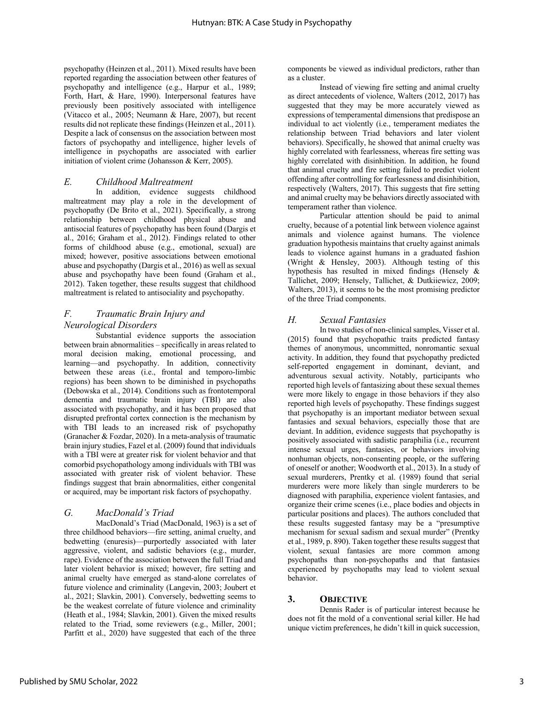psychopathy (Heinzen et al., 2011). Mixed results have been reported regarding the association between other features of psychopathy and intelligence (e.g., Harpur et al., 1989; Forth, Hart, & Hare, 1990). Interpersonal features have previously been positively associated with intelligence (Vitacco et al., 2005; Neumann & Hare, 2007), but recent results did not replicate these findings (Heinzen et al., 2011). Despite a lack of consensus on the association between most factors of psychopathy and intelligence, higher levels of intelligence in psychopaths are associated with earlier initiation of violent crime (Johansson & Kerr, 2005).

#### *E. Childhood Maltreatment*

In addition, evidence suggests childhood maltreatment may play a role in the development of psychopathy (De Brito et al., 2021). Specifically, a strong relationship between childhood physical abuse and antisocial features of psychopathy has been found (Dargis et al., 2016; Graham et al., 2012). Findings related to other forms of childhood abuse (e.g., emotional, sexual) are mixed; however, positive associations between emotional abuse and psychopathy (Dargis et al., 2016) as well as sexual abuse and psychopathy have been found (Graham et al., 2012). Taken together, these results suggest that childhood maltreatment is related to antisociality and psychopathy.

#### *F. Traumatic Brain Injury and Neurological Disorders*

Substantial evidence supports the association between brain abnormalities – specifically in areas related to moral decision making, emotional processing, and learning—and psychopathy. In addition, connectivity between these areas (i.e., frontal and temporo-limbic regions) has been shown to be diminished in psychopaths (Debowska et al., 2014). Conditions such as frontotemporal dementia and traumatic brain injury (TBI) are also associated with psychopathy, and it has been proposed that disrupted prefrontal cortex connection is the mechanism by with TBI leads to an increased risk of psychopathy (Granacher & Fozdar, 2020). In a meta-analysis of traumatic brain injury studies, Fazel et al. (2009) found that individuals with a TBI were at greater risk for violent behavior and that comorbid psychopathology among individuals with TBI was associated with greater risk of violent behavior. These findings suggest that brain abnormalities, either congenital or acquired, may be important risk factors of psychopathy.

#### *G. MacDonald's Triad*

MacDonald's Triad (MacDonald, 1963) is a set of three childhood behaviors—fire setting, animal cruelty, and bedwetting (enuresis)—purportedly associated with later aggressive, violent, and sadistic behaviors (e.g., murder, rape). Evidence of the association between the full Triad and later violent behavior is mixed; however, fire setting and animal cruelty have emerged as stand-alone correlates of future violence and criminality (Langevin, 2003; Joubert et al., 2021; Slavkin, 2001). Conversely, bedwetting seems to be the weakest correlate of future violence and criminality (Heath et al., 1984; Slavkin, 2001). Given the mixed results related to the Triad, some reviewers (e.g., Miller, 2001; Parfitt et al., 2020) have suggested that each of the three

components be viewed as individual predictors, rather than as a cluster.

Instead of viewing fire setting and animal cruelty as direct antecedents of violence, Walters (2012, 2017) has suggested that they may be more accurately viewed as expressions of temperamental dimensions that predispose an individual to act violently (i.e., temperament mediates the relationship between Triad behaviors and later violent behaviors). Specifically, he showed that animal cruelty was highly correlated with fearlessness, whereas fire setting was highly correlated with disinhibition. In addition, he found that animal cruelty and fire setting failed to predict violent offending after controlling for fearlessness and disinhibition, respectively (Walters, 2017). This suggests that fire setting and animal cruelty may be behaviors directly associated with temperament rather than violence.

Particular attention should be paid to animal cruelty, because of a potential link between violence against animals and violence against humans. The violence graduation hypothesis maintains that cruelty against animals leads to violence against humans in a graduated fashion (Wright & Hensley, 2003). Although testing of this hypothesis has resulted in mixed findings (Hensely & Tallichet, 2009; Hensely, Tallichet, & Dutkiiewicz, 2009; Walters, 2013), it seems to be the most promising predictor of the three Triad components.

#### *H. Sexual Fantasies*

In two studies of non-clinical samples, Visser et al. (2015) found that psychopathic traits predicted fantasy themes of anonymous, uncommitted, nonromantic sexual activity. In addition, they found that psychopathy predicted self-reported engagement in dominant, deviant, and adventurous sexual activity. Notably, participants who reported high levels of fantasizing about these sexual themes were more likely to engage in those behaviors if they also reported high levels of psychopathy. These findings suggest that psychopathy is an important mediator between sexual fantasies and sexual behaviors, especially those that are deviant. In addition, evidence suggests that psychopathy is positively associated with sadistic paraphilia (i.e., recurrent intense sexual urges, fantasies, or behaviors involving nonhuman objects, non-consenting people, or the suffering of oneself or another; Woodworth et al., 2013). In a study of sexual murderers, Prentky et al. (1989) found that serial murderers were more likely than single murderers to be diagnosed with paraphilia, experience violent fantasies, and organize their crime scenes (i.e., place bodies and objects in particular positions and places). The authors concluded that these results suggested fantasy may be a "presumptive mechanism for sexual sadism and sexual murder" (Prentky et al., 1989, p. 890). Taken together these results suggest that violent, sexual fantasies are more common among psychopaths than non-psychopaths and that fantasies experienced by psychopaths may lead to violent sexual behavior.

#### **3. OBJECTIVE**

Dennis Rader is of particular interest because he does not fit the mold of a conventional serial killer. He had unique victim preferences, he didn't kill in quick succession,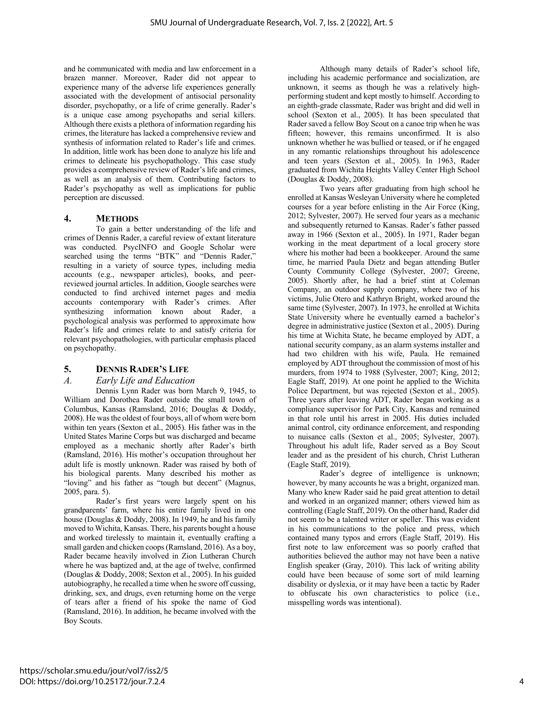and he communicated with media and law enforcement in a brazen manner. Moreover, Rader did not appear to experience many of the adverse life experiences generally associated with the development of antisocial personality disorder, psychopathy, or a life of crime generally. Rader's is a unique case among psychopaths and serial killers. Although there exists a plethora of information regarding his crimes, the literature has lacked a comprehensive review and synthesis of information related to Rader's life and crimes. In addition, little work has been done to analyze his life and crimes to delineate his psychopathology. This case study provides a comprehensive review of Rader's life and crimes, as well as an analysis of them. Contributing factors to Rader's psychopathy as well as implications for public perception are discussed.

#### **4. METHODS**

To gain a better understanding of the life and crimes of Dennis Rader, a careful review of extant literature was conducted. PsycINFO and Google Scholar were searched using the terms "BTK" and "Dennis Rader," resulting in a variety of source types, including media accounts (e.g., newspaper articles), books, and peerreviewed journal articles. In addition, Google searches were conducted to find archived internet pages and media accounts contemporary with Rader's crimes. After synthesizing information known about Rader, a psychological analysis was performed to approximate how Rader's life and crimes relate to and satisfy criteria for relevant psychopathologies, with particular emphasis placed on psychopathy.

#### **5. DENNIS RADER'S LIFE**

#### *A. Early Life and Education*

Dennis Lynn Rader was born March 9, 1945, to William and Dorothea Rader outside the small town of Columbus, Kansas (Ramsland, 2016; Douglas & Doddy, 2008). He was the oldest of four boys, all of whom were born within ten years (Sexton et al., 2005). His father was in the United States Marine Corps but was discharged and became employed as a mechanic shortly after Rader's birth (Ramsland, 2016). His mother's occupation throughout her adult life is mostly unknown. Rader was raised by both of his biological parents. Many described his mother as "loving" and his father as "tough but decent" (Magnus, 2005, para. 5).

Rader's first years were largely spent on his grandparents' farm, where his entire family lived in one house (Douglas & Doddy, 2008). In 1949, he and his family moved to Wichita, Kansas. There, his parents bought a house and worked tirelessly to maintain it, eventually crafting a small garden and chicken coops (Ramsland, 2016). As a boy, Rader became heavily involved in Zion Lutheran Church where he was baptized and, at the age of twelve, confirmed (Douglas & Doddy, 2008; Sexton et al., 2005). In his guided autobiography, he recalled a time when he swore off cussing, drinking, sex, and drugs, even returning home on the verge of tears after a friend of his spoke the name of God (Ramsland, 2016). In addition, he became involved with the Boy Scouts.

Although many details of Rader's school life, including his academic performance and socialization, are unknown, it seems as though he was a relatively highperforming student and kept mostly to himself. According to an eighth-grade classmate, Rader was bright and did well in school (Sexton et al., 2005). It has been speculated that Rader saved a fellow Boy Scout on a canoe trip when he was fifteen; however, this remains unconfirmed. It is also unknown whether he was bullied or teased, or if he engaged in any romantic relationships throughout his adolescence and teen years (Sexton et al., 2005). In 1963, Rader graduated from Wichita Heights Valley Center High School (Douglas & Doddy, 2008).

Two years after graduating from high school he enrolled at Kansas Wesleyan University where he completed courses for a year before enlisting in the Air Force (King, 2012; Sylvester, 2007). He served four years as a mechanic and subsequently returned to Kansas. Rader's father passed away in 1966 (Sexton et al., 2005). In 1971, Rader began working in the meat department of a local grocery store where his mother had been a bookkeeper. Around the same time, he married Paula Dietz and began attending Butler County Community College (Sylvester, 2007; Greene, 2005). Shortly after, he had a brief stint at Coleman Company, an outdoor supply company, where two of his victims, Julie Otero and Kathryn Bright, worked around the same time (Sylvester, 2007). In 1973, he enrolled at Wichita State University where he eventually earned a bachelor's degree in administrative justice (Sexton et al., 2005). During his time at Wichita State, he became employed by ADT, a national security company, as an alarm systems installer and had two children with his wife, Paula. He remained employed by ADT throughout the commission of most of his murders, from 1974 to 1988 (Sylvester, 2007; King, 2012; Eagle Staff, 2019). At one point he applied to the Wichita Police Department, but was rejected (Sexton et al., 2005). Three years after leaving ADT, Rader began working as a compliance supervisor for Park City, Kansas and remained in that role until his arrest in 2005. His duties included animal control, city ordinance enforcement, and responding to nuisance calls (Sexton et al., 2005; Sylvester, 2007). Throughout his adult life, Rader served as a Boy Scout leader and as the president of his church, Christ Lutheran (Eagle Staff, 2019).

Rader's degree of intelligence is unknown; however, by many accounts he was a bright, organized man. Many who knew Rader said he paid great attention to detail and worked in an organized manner; others viewed him as controlling (Eagle Staff, 2019). On the other hand, Rader did not seem to be a talented writer or speller. This was evident in his communications to the police and press, which contained many typos and errors (Eagle Staff, 2019). His first note to law enforcement was so poorly crafted that authorities believed the author may not have been a native English speaker (Gray, 2010). This lack of writing ability could have been because of some sort of mild learning disability or dyslexia, or it may have been a tactic by Rader to obfuscate his own characteristics to police (i.e., misspelling words was intentional).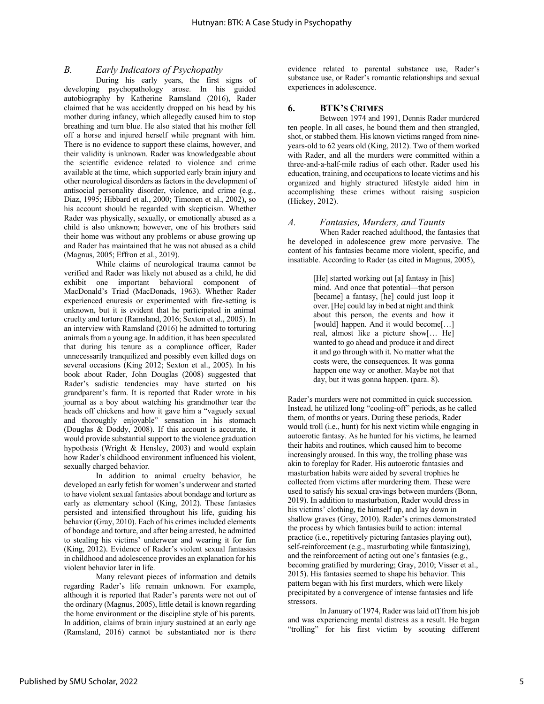#### *B. Early Indicators of Psychopathy*

During his early years, the first signs of developing psychopathology arose. In his guided autobiography by Katherine Ramsland (2016), Rader claimed that he was accidently dropped on his head by his mother during infancy, which allegedly caused him to stop breathing and turn blue. He also stated that his mother fell off a horse and injured herself while pregnant with him. There is no evidence to support these claims, however, and their validity is unknown. Rader was knowledgeable about the scientific evidence related to violence and crime available at the time, which supported early brain injury and other neurological disorders as factors in the development of antisocial personality disorder, violence, and crime (e.g., Diaz, 1995; Hibbard et al., 2000; Timonen et al., 2002), so his account should be regarded with skepticism. Whether Rader was physically, sexually, or emotionally abused as a child is also unknown; however, one of his brothers said their home was without any problems or abuse growing up and Rader has maintained that he was not abused as a child (Magnus, 2005; Effron et al., 2019).

While claims of neurological trauma cannot be verified and Rader was likely not abused as a child, he did exhibit one important behavioral component of MacDonald's Triad (MacDonads, 1963). Whether Rader experienced enuresis or experimented with fire-setting is unknown, but it is evident that he participated in animal cruelty and torture (Ramsland, 2016; Sexton et al., 2005). In an interview with Ramsland (2016) he admitted to torturing animals from a young age. In addition, it has been speculated that during his tenure as a compliance officer, Rader unnecessarily tranquilized and possibly even killed dogs on several occasions (King 2012; Sexton et al., 2005). In his book about Rader, John Douglas (2008) suggested that Rader's sadistic tendencies may have started on his grandparent's farm. It is reported that Rader wrote in his journal as a boy about watching his grandmother tear the heads off chickens and how it gave him a "vaguely sexual and thoroughly enjoyable" sensation in his stomach (Douglas & Doddy, 2008). If this account is accurate, it would provide substantial support to the violence graduation hypothesis (Wright & Hensley, 2003) and would explain how Rader's childhood environment influenced his violent, sexually charged behavior.

In addition to animal cruelty behavior, he developed an early fetish for women's underwear and started to have violent sexual fantasies about bondage and torture as early as elementary school (King, 2012). These fantasies persisted and intensified throughout his life, guiding his behavior (Gray, 2010). Each of his crimes included elements of bondage and torture, and after being arrested, he admitted to stealing his victims' underwear and wearing it for fun (King, 2012). Evidence of Rader's violent sexual fantasies in childhood and adolescence provides an explanation for his violent behavior later in life.

Many relevant pieces of information and details regarding Rader's life remain unknown. For example, although it is reported that Rader's parents were not out of the ordinary (Magnus, 2005), little detail is known regarding the home environment or the discipline style of his parents. In addition, claims of brain injury sustained at an early age (Ramsland, 2016) cannot be substantiated nor is there

evidence related to parental substance use, Rader's substance use, or Rader's romantic relationships and sexual experiences in adolescence.

#### **6. BTK'S CRIMES**

Between 1974 and 1991, Dennis Rader murdered ten people. In all cases, he bound them and then strangled, shot, or stabbed them. His known victims ranged from nineyears-old to 62 years old (King, 2012). Two of them worked with Rader, and all the murders were committed within a three-and-a-half-mile radius of each other. Rader used his education, training, and occupations to locate victims and his organized and highly structured lifestyle aided him in accomplishing these crimes without raising suspicion (Hickey, 2012).

#### *A. Fantasies, Murders, and Taunts*

When Rader reached adulthood, the fantasies that he developed in adolescence grew more pervasive. The content of his fantasies became more violent, specific, and insatiable. According to Rader (as cited in Magnus, 2005),

> [He] started working out [a] fantasy in [his] mind. And once that potential—that person [became] a fantasy, [he] could just loop it over. [He] could lay in bed at night and think about this person, the events and how it [would] happen. And it would become[...] real, almost like a picture show[… He] wanted to go ahead and produce it and direct it and go through with it. No matter what the costs were, the consequences. It was gonna happen one way or another. Maybe not that day, but it was gonna happen. (para. 8).

Rader's murders were not committed in quick succession. Instead, he utilized long "cooling-off" periods, as he called them, of months or years. During these periods, Rader would troll (i.e., hunt) for his next victim while engaging in autoerotic fantasy. As he hunted for his victims, he learned their habits and routines, which caused him to become increasingly aroused. In this way, the trolling phase was akin to foreplay for Rader. His autoerotic fantasies and masturbation habits were aided by several trophies he collected from victims after murdering them. These were used to satisfy his sexual cravings between murders (Bonn, 2019). In addition to masturbation, Rader would dress in his victims' clothing, tie himself up, and lay down in shallow graves (Gray, 2010). Rader's crimes demonstrated the process by which fantasies build to action: internal practice (i.e., repetitively picturing fantasies playing out), self-reinforcement (e.g., masturbating while fantasizing), and the reinforcement of acting out one's fantasies (e.g., becoming gratified by murdering; Gray, 2010; Visser et al., 2015). His fantasies seemed to shape his behavior. This pattern began with his first murders, which were likely precipitated by a convergence of intense fantasies and life stressors.

In January of 1974, Rader was laid off from his job and was experiencing mental distress as a result. He began "trolling" for his first victim by scouting different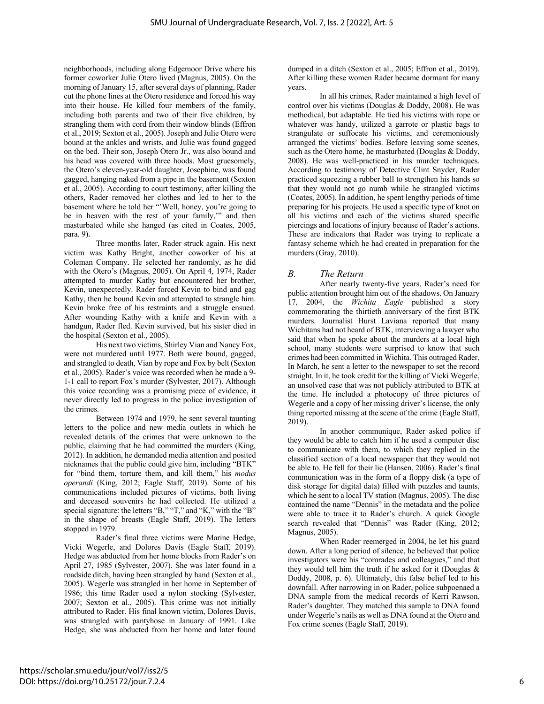neighborhoods, including along Edgemoor Drive where his former coworker Julie Otero lived (Magnus, 2005). On the morning of January 15, after several days of planning, Rader cut the phone lines at the Otero residence and forced his way into their house. He killed four members of the family, including both parents and two of their five children, by strangling them with cord from their window blinds (Effron et al., 2019; Sexton et al., 2005). Joseph and Julie Otero were bound at the ankles and wrists, and Julie was found gagged on the bed. Their son, Joseph Otero Jr., was also bound and his head was covered with three hoods. Most gruesomely, the Otero's eleven-year-old daughter, Josephine, was found gagged, hanging naked from a pipe in the basement (Sexton et al., 2005). According to court testimony, after killing the others, Rader removed her clothes and led to her to the basement where he told her "'Well, honey, you're going to be in heaven with the rest of your family,'" and then masturbated while she hanged (as cited in Coates, 2005, para. 9).

Three months later, Rader struck again. His next victim was Kathy Bright, another coworker of his at Coleman Company. He selected her randomly, as he did with the Otero's (Magnus, 2005). On April 4, 1974, Rader attempted to murder Kathy but encountered her brother, Kevin, unexpectedly. Rader forced Kevin to bind and gag Kathy, then he bound Kevin and attempted to strangle him. Kevin broke free of his restraints and a struggle ensued. After wounding Kathy with a knife and Kevin with a handgun, Rader fled. Kevin survived, but his sister died in the hospital (Sexton et al., 2005).

His next two victims, Shirley Vian and Nancy Fox, were not murdered until 1977. Both were bound, gagged, and strangled to death, Vian by rope and Fox by belt (Sexton et al., 2005). Rader's voice was recorded when he made a 9- 1-1 call to report Fox's murder (Sylvester, 2017). Although this voice recording was a promising piece of evidence, it never directly led to progress in the police investigation of the crimes.

Between 1974 and 1979, he sent several taunting letters to the police and new media outlets in which he revealed details of the crimes that were unknown to the public, claiming that he had committed the murders (King, 2012). In addition, he demanded media attention and posited nicknames that the public could give him, including "BTK" for "bind them, torture them, and kill them," his *modus operandi* (King, 2012; Eagle Staff, 2019). Some of his communications included pictures of victims, both living and deceased souvenirs he had collected. He utilized a special signature: the letters "B," "T," and "K," with the "B" in the shape of breasts (Eagle Staff, 2019). The letters stopped in 1979.

Rader's final three victims were Marine Hedge, Vicki Wegerle, and Dolores Davis (Eagle Staff, 2019). Hedge was abducted from her home blocks from Rader's on April 27, 1985 (Sylvester, 2007). She was later found in a roadside ditch, having been strangled by hand (Sexton et al., 2005). Wegerle was strangled in her home in September of 1986; this time Rader used a nylon stocking (Sylvester, 2007; Sexton et al., 2005). This crime was not initially attributed to Rader. His final known victim, Dolores Davis, was strangled with pantyhose in January of 1991. Like Hedge, she was abducted from her home and later found

dumped in a ditch (Sexton et al., 2005; Effron et al., 2019). After killing these women Rader became dormant for many years.

In all his crimes, Rader maintained a high level of control over his victims (Douglas & Doddy, 2008). He was methodical, but adaptable. He tied his victims with rope or whatever was handy, utilized a garrote or plastic bags to strangulate or suffocate his victims, and ceremoniously arranged the victims' bodies. Before leaving some scenes, such as the Otero home, he masturbated (Douglas & Doddy, 2008). He was well-practiced in his murder techniques. According to testimony of Detective Clint Snyder, Rader practiced squeezing a rubber ball to strengthen his hands so that they would not go numb while he strangled victims (Coates, 2005). In addition, he spent lengthy periods of time preparing for his projects. He used a specific type of knot on all his victims and each of the victims shared specific piercings and locations of injury because of Rader's actions. These are indicators that Rader was trying to replicate a fantasy scheme which he had created in preparation for the murders (Gray, 2010).

#### *B. The Return*

After nearly twenty-five years, Rader's need for public attention brought him out of the shadows. On January 17, 2004, the *Wichita Eagle* published a story commemorating the thirtieth anniversary of the first BTK murders. Journalist Hurst Laviana reported that many Wichitans had not heard of BTK, interviewing a lawyer who said that when he spoke about the murders at a local high school, many students were surprised to know that such crimes had been committed in Wichita. This outraged Rader. In March, he sent a letter to the newspaper to set the record straight. In it, he took credit for the killing of Vicki Wegerle, an unsolved case that was not publicly attributed to BTK at the time. He included a photocopy of three pictures of Wegerle and a copy of her missing driver's license, the only thing reported missing at the scene of the crime (Eagle Staff, 2019).

In another communique, Rader asked police if they would be able to catch him if he used a computer disc to communicate with them, to which they replied in the classified section of a local newspaper that they would not be able to. He fell for their lie (Hansen, 2006). Rader's final communication was in the form of a floppy disk (a type of disk storage for digital data) filled with puzzles and taunts, which he sent to a local TV station (Magnus, 2005). The disc contained the name "Dennis" in the metadata and the police were able to trace it to Rader's church. A quick Google search revealed that "Dennis" was Rader (King, 2012; Magnus, 2005).

When Rader reemerged in 2004, he let his guard down. After a long period of silence, he believed that police investigators were his "comrades and colleagues," and that they would tell him the truth if he asked for it (Douglas & Doddy, 2008, p. 6). Ultimately, this false belief led to his downfall. After narrowing in on Rader, police subpoenaed a DNA sample from the medical records of Kerri Rawson, Rader's daughter. They matched this sample to DNA found under Wegerle's nails as well as DNA found at the Otero and Fox crime scenes (Eagle Staff, 2019).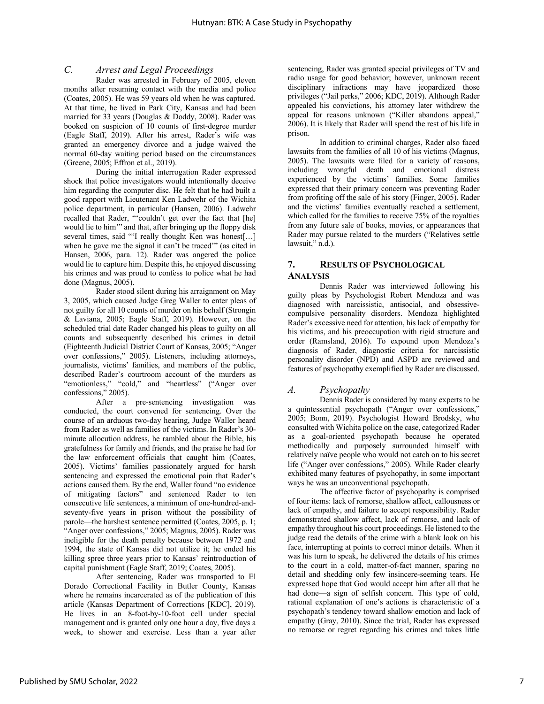#### *C. Arrest and Legal Proceedings*

Rader was arrested in February of 2005, eleven months after resuming contact with the media and police (Coates, 2005). He was 59 years old when he was captured. At that time, he lived in Park City, Kansas and had been married for 33 years (Douglas & Doddy, 2008). Rader was booked on suspicion of 10 counts of first-degree murder (Eagle Staff, 2019). After his arrest, Rader's wife was granted an emergency divorce and a judge waived the normal 60-day waiting period based on the circumstances (Greene, 2005; Effron et al., 2019).

During the initial interrogation Rader expressed shock that police investigators would intentionally deceive him regarding the computer disc. He felt that he had built a good rapport with Lieutenant Ken Ladwehr of the Wichita police department, in particular (Hansen, 2006). Ladwehr recalled that Rader, "'couldn't get over the fact that [he] would lie to him'" and that, after bringing up the floppy disk several times, said "'I really thought Ken was honest[...] when he gave me the signal it can't be traced'" (as cited in Hansen, 2006, para. 12). Rader was angered the police would lie to capture him. Despite this, he enjoyed discussing his crimes and was proud to confess to police what he had done (Magnus, 2005).

Rader stood silent during his arraignment on May 3, 2005, which caused Judge Greg Waller to enter pleas of not guilty for all 10 counts of murder on his behalf (Strongin & Laviana, 2005; Eagle Staff, 2019). However, on the scheduled trial date Rader changed his pleas to guilty on all counts and subsequently described his crimes in detail (Eighteenth Judicial District Court of Kansas, 2005; "Anger over confessions," 2005). Listeners, including attorneys, journalists, victims' families, and members of the public, described Rader's courtroom account of the murders as "emotionless," "cold," and "heartless" ("Anger over confessions," 2005).

After a pre-sentencing investigation was conducted, the court convened for sentencing. Over the course of an arduous two-day hearing, Judge Waller heard from Rader as well as families of the victims. In Rader's 30 minute allocution address, he rambled about the Bible, his gratefulness for family and friends, and the praise he had for the law enforcement officials that caught him (Coates, 2005). Victims' families passionately argued for harsh sentencing and expressed the emotional pain that Rader's actions caused them. By the end, Waller found "no evidence of mitigating factors" and sentenced Rader to ten consecutive life sentences, a minimum of one-hundred-andseventy-five years in prison without the possibility of parole—the harshest sentence permitted (Coates, 2005, p. 1; "Anger over confessions," 2005; Magnus, 2005). Rader was ineligible for the death penalty because between 1972 and 1994, the state of Kansas did not utilize it; he ended his killing spree three years prior to Kansas' reintroduction of capital punishment (Eagle Staff, 2019; Coates, 2005).

After sentencing, Rader was transported to El Dorado Correctional Facility in Butler County, Kansas where he remains incarcerated as of the publication of this article (Kansas Department of Corrections [KDC], 2019). He lives in an 8-foot-by-10-foot cell under special management and is granted only one hour a day, five days a week, to shower and exercise. Less than a year after

sentencing, Rader was granted special privileges of TV and radio usage for good behavior; however, unknown recent disciplinary infractions may have jeopardized those privileges ("Jail perks," 2006; KDC, 2019). Although Rader appealed his convictions, his attorney later withdrew the appeal for reasons unknown ("Killer abandons appeal," 2006). It is likely that Rader will spend the rest of his life in prison.

In addition to criminal charges, Rader also faced lawsuits from the families of all 10 of his victims (Magnus, 2005). The lawsuits were filed for a variety of reasons, including wrongful death and emotional distress experienced by the victims' families. Some families expressed that their primary concern was preventing Rader from profiting off the sale of his story (Finger, 2005). Rader and the victims' families eventually reached a settlement, which called for the families to receive 75% of the royalties from any future sale of books, movies, or appearances that Rader may pursue related to the murders ("Relatives settle lawsuit," n.d.).

#### **7. RESULTS OF PSYCHOLOGICAL ANALYSIS**

Dennis Rader was interviewed following his guilty pleas by Psychologist Robert Mendoza and was diagnosed with narcissistic, antisocial, and obsessivecompulsive personality disorders. Mendoza highlighted Rader's excessive need for attention, his lack of empathy for his victims, and his preoccupation with rigid structure and order (Ramsland, 2016). To expound upon Mendoza's diagnosis of Rader, diagnostic criteria for narcissistic personality disorder (NPD) and ASPD are reviewed and features of psychopathy exemplified by Rader are discussed.

#### *A. Psychopathy*

Dennis Rader is considered by many experts to be a quintessential psychopath ("Anger over confessions," 2005; Bonn, 2019). Psychologist Howard Brodsky, who consulted with Wichita police on the case, categorized Rader as a goal-oriented psychopath because he operated methodically and purposely surrounded himself with relatively naïve people who would not catch on to his secret life ("Anger over confessions," 2005). While Rader clearly exhibited many features of psychopathy, in some important ways he was an unconventional psychopath.

The affective factor of psychopathy is comprised of four items: lack of remorse, shallow affect, callousness or lack of empathy, and failure to accept responsibility. Rader demonstrated shallow affect, lack of remorse, and lack of empathy throughout his court proceedings. He listened to the judge read the details of the crime with a blank look on his face, interrupting at points to correct minor details. When it was his turn to speak, he delivered the details of his crimes to the court in a cold, matter-of-fact manner, sparing no detail and shedding only few insincere-seeming tears. He expressed hope that God would accept him after all that he had done—a sign of selfish concern. This type of cold, rational explanation of one's actions is characteristic of a psychopath's tendency toward shallow emotion and lack of empathy (Gray, 2010). Since the trial, Rader has expressed no remorse or regret regarding his crimes and takes little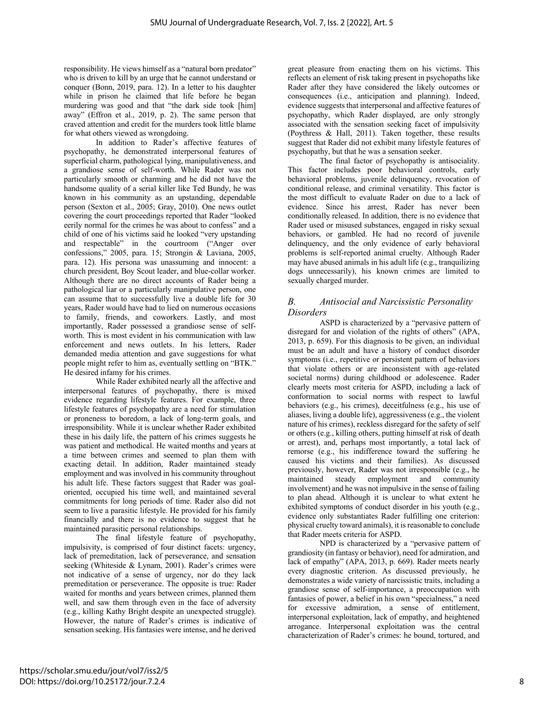responsibility. He views himself as a "natural born predator" who is driven to kill by an urge that he cannot understand or conquer (Bonn, 2019, para. 12). In a letter to his daughter while in prison he claimed that life before he began murdering was good and that "the dark side took [him] away" (Effron et al., 2019, p. 2). The same person that craved attention and credit for the murders took little blame for what others viewed as wrongdoing.

In addition to Rader's affective features of psychopathy, he demonstrated interpersonal features of superficial charm, pathological lying, manipulativeness, and a grandiose sense of self-worth. While Rader was not particularly smooth or charming and he did not have the handsome quality of a serial killer like Ted Bundy, he was known in his community as an upstanding, dependable person (Sexton et al., 2005; Gray, 2010). One news outlet covering the court proceedings reported that Rader "looked eerily normal for the crimes he was about to confess" and a child of one of his victims said he looked "very upstanding and respectable" in the courtroom ("Anger over confessions," 2005, para. 15; Strongin & Laviana, 2005, para. 12). His persona was unassuming and innocent: a church president, Boy Scout leader, and blue-collar worker. Although there are no direct accounts of Rader being a pathological liar or a particularly manipulative person, one can assume that to successfully live a double life for 30 years, Rader would have had to lied on numerous occasions to family, friends, and coworkers. Lastly, and most importantly, Rader possessed a grandiose sense of selfworth. This is most evident in his communication with law enforcement and news outlets. In his letters, Rader demanded media attention and gave suggestions for what people might refer to him as, eventually settling on "BTK." He desired infamy for his crimes.

While Rader exhibited nearly all the affective and interpersonal features of psychopathy, there is mixed evidence regarding lifestyle features. For example, three lifestyle features of psychopathy are a need for stimulation or proneness to boredom, a lack of long-term goals, and irresponsibility. While it is unclear whether Rader exhibited these in his daily life, the pattern of his crimes suggests he was patient and methodical. He waited months and years at a time between crimes and seemed to plan them with exacting detail. In addition, Rader maintained steady employment and was involved in his community throughout his adult life. These factors suggest that Rader was goaloriented, occupied his time well, and maintained several commitments for long periods of time. Rader also did not seem to live a parasitic lifestyle. He provided for his family financially and there is no evidence to suggest that he maintained parasitic personal relationships.

The final lifestyle feature of psychopathy, impulsivity, is comprised of four distinct facets: urgency, lack of premeditation, lack of perseverance, and sensation seeking (Whiteside & Lynam, 2001). Rader's crimes were not indicative of a sense of urgency, nor do they lack premeditation or perseverance. The opposite is true: Rader waited for months and years between crimes, planned them well, and saw them through even in the face of adversity (e.g., killing Kathy Bright despite an unexpected struggle). However, the nature of Rader's crimes is indicative of sensation seeking. His fantasies were intense, and he derived

great pleasure from enacting them on his victims. This reflects an element of risk taking present in psychopaths like Rader after they have considered the likely outcomes or consequences (i.e., anticipation and planning). Indeed, evidence suggests that interpersonal and affective features of psychopathy, which Rader displayed, are only strongly associated with the sensation seeking facet of impulsivity (Poythress & Hall, 2011). Taken together, these results suggest that Rader did not exhibit many lifestyle features of psychopathy, but that he was a sensation seeker.

The final factor of psychopathy is antisociality. This factor includes poor behavioral controls, early behavioral problems, juvenile delinquency, revocation of conditional release, and criminal versatility. This factor is the most difficult to evaluate Rader on due to a lack of evidence. Since his arrest, Rader has never been conditionally released. In addition, there is no evidence that Rader used or misused substances, engaged in risky sexual behaviors, or gambled. He had no record of juvenile delinquency, and the only evidence of early behavioral problems is self-reported animal cruelty. Although Rader may have abused animals in his adult life (e.g., tranquilizing dogs unnecessarily), his known crimes are limited to sexually charged murder.

#### *B. Antisocial and Narcissistic Personality Disorders*

ASPD is characterized by a "pervasive pattern of disregard for and violation of the rights of others" (APA, 2013, p. 659). For this diagnosis to be given, an individual must be an adult and have a history of conduct disorder symptoms (i.e., repetitive or persistent pattern of behaviors that violate others or are inconsistent with age-related societal norms) during childhood or adolescence. Rader clearly meets most criteria for ASPD, including a lack of conformation to social norms with respect to lawful behaviors (e.g., his crimes), deceitfulness (e.g., his use of aliases, living a double life), aggressiveness (e.g., the violent nature of his crimes), reckless disregard for the safety of self or others (e.g., killing others, putting himself at risk of death or arrest), and, perhaps most importantly, a total lack of remorse (e.g., his indifference toward the suffering he caused his victims and their families). As discussed previously, however, Rader was not irresponsible (e.g., he maintained steady employment and community involvement) and he was not impulsive in the sense of failing to plan ahead. Although it is unclear to what extent he exhibited symptoms of conduct disorder in his youth (e.g., evidence only substantiates Rader fulfilling one criterion: physical cruelty toward animals), it is reasonable to conclude that Rader meets criteria for ASPD.

NPD is characterized by a "pervasive pattern of grandiosity (in fantasy or behavior), need for admiration, and lack of empathy" (APA, 2013, p. 669). Rader meets nearly every diagnostic criterion. As discussed previously, he demonstrates a wide variety of narcissistic traits, including a grandiose sense of self-importance, a preoccupation with fantasies of power, a belief in his own "specialness," a need for excessive admiration, a sense of entitlement, interpersonal exploitation, lack of empathy, and heightened arrogance. Interpersonal exploitation was the central characterization of Rader's crimes: he bound, tortured, and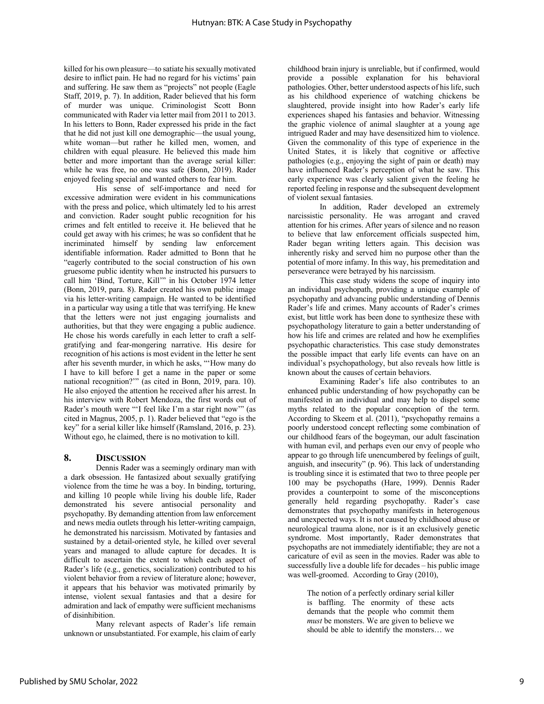killed for his own pleasure—to satiate his sexually motivated desire to inflict pain. He had no regard for his victims' pain and suffering. He saw them as "projects" not people (Eagle Staff, 2019, p. 7). In addition, Rader believed that his form of murder was unique. Criminologist Scott Bonn communicated with Rader via letter mail from 2011 to 2013. In his letters to Bonn, Rader expressed his pride in the fact that he did not just kill one demographic—the usual young, white woman—but rather he killed men, women, and children with equal pleasure. He believed this made him better and more important than the average serial killer: while he was free, no one was safe (Bonn, 2019). Rader enjoyed feeling special and wanted others to fear him.

His sense of self-importance and need for excessive admiration were evident in his communications with the press and police, which ultimately led to his arrest and conviction. Rader sought public recognition for his crimes and felt entitled to receive it. He believed that he could get away with his crimes; he was so confident that he incriminated himself by sending law enforcement identifiable information. Rader admitted to Bonn that he "eagerly contributed to the social construction of his own gruesome public identity when he instructed his pursuers to call him 'Bind, Torture, Kill'" in his October 1974 letter (Bonn, 2019, para. 8). Rader created his own public image via his letter-writing campaign. He wanted to be identified in a particular way using a title that was terrifying. He knew that the letters were not just engaging journalists and authorities, but that they were engaging a public audience. He chose his words carefully in each letter to craft a selfgratifying and fear-mongering narrative. His desire for recognition of his actions is most evident in the letter he sent after his seventh murder, in which he asks, "'How many do I have to kill before I get a name in the paper or some national recognition?'" (as cited in Bonn, 2019, para. 10). He also enjoyed the attention he received after his arrest. In his interview with Robert Mendoza, the first words out of Rader's mouth were "'I feel like I'm a star right now'" (as cited in Magnus, 2005, p. 1). Rader believed that "ego is the key" for a serial killer like himself (Ramsland, 2016, p. 23). Without ego, he claimed, there is no motivation to kill.

#### **8. DISCUSSION**

Dennis Rader was a seemingly ordinary man with a dark obsession. He fantasized about sexually gratifying violence from the time he was a boy. In binding, torturing, and killing 10 people while living his double life, Rader demonstrated his severe antisocial personality and psychopathy. By demanding attention from law enforcement and news media outlets through his letter-writing campaign, he demonstrated his narcissism. Motivated by fantasies and sustained by a detail-oriented style, he killed over several years and managed to allude capture for decades. It is difficult to ascertain the extent to which each aspect of Rader's life (e.g., genetics, socialization) contributed to his violent behavior from a review of literature alone; however, it appears that his behavior was motivated primarily by intense, violent sexual fantasies and that a desire for admiration and lack of empathy were sufficient mechanisms of disinhibition.

Many relevant aspects of Rader's life remain unknown or unsubstantiated. For example, his claim of early

childhood brain injury is unreliable, but if confirmed, would provide a possible explanation for his behavioral pathologies. Other, better understood aspects of his life, such as his childhood experience of watching chickens be slaughtered, provide insight into how Rader's early life experiences shaped his fantasies and behavior. Witnessing the graphic violence of animal slaughter at a young age intrigued Rader and may have desensitized him to violence. Given the commonality of this type of experience in the United States, it is likely that cognitive or affective pathologies (e.g., enjoying the sight of pain or death) may have influenced Rader's perception of what he saw. This early experience was clearly salient given the feeling he reported feeling in response and the subsequent development of violent sexual fantasies.

In addition, Rader developed an extremely narcissistic personality. He was arrogant and craved attention for his crimes. After years of silence and no reason to believe that law enforcement officials suspected him, Rader began writing letters again. This decision was inherently risky and served him no purpose other than the potential of more infamy. In this way, his premeditation and perseverance were betrayed by his narcissism.

This case study widens the scope of inquiry into an individual psychopath, providing a unique example of psychopathy and advancing public understanding of Dennis Rader's life and crimes. Many accounts of Rader's crimes exist, but little work has been done to synthesize these with psychopathology literature to gain a better understanding of how his life and crimes are related and how he exemplifies psychopathic characteristics. This case study demonstrates the possible impact that early life events can have on an individual's psychopathology, but also reveals how little is known about the causes of certain behaviors.

Examining Rader's life also contributes to an enhanced public understanding of how psychopathy can be manifested in an individual and may help to dispel some myths related to the popular conception of the term. According to Skeem et al. (2011), "psychopathy remains a poorly understood concept reflecting some combination of our childhood fears of the bogeyman, our adult fascination with human evil, and perhaps even our envy of people who appear to go through life unencumbered by feelings of guilt, anguish, and insecurity" (p. 96). This lack of understanding is troubling since it is estimated that two to three people per 100 may be psychopaths (Hare, 1999). Dennis Rader provides a counterpoint to some of the misconceptions generally held regarding psychopathy. Rader's case demonstrates that psychopathy manifests in heterogenous and unexpected ways. It is not caused by childhood abuse or neurological trauma alone, nor is it an exclusively genetic syndrome. Most importantly, Rader demonstrates that psychopaths are not immediately identifiable; they are not a caricature of evil as seen in the movies. Rader was able to successfully live a double life for decades – his public image was well-groomed. According to Gray (2010),

The notion of a perfectly ordinary serial killer is baffling. The enormity of these acts demands that the people who commit them *must* be monsters. We are given to believe we should be able to identify the monsters… we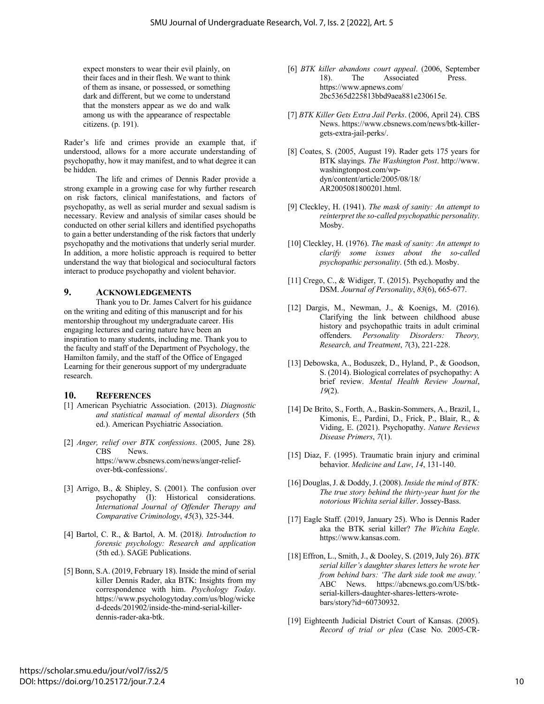expect monsters to wear their evil plainly, on their faces and in their flesh. We want to think of them as insane, or possessed, or something dark and different, but we come to understand that the monsters appear as we do and walk among us with the appearance of respectable citizens. (p. 191).

Rader's life and crimes provide an example that, if understood, allows for a more accurate understanding of psychopathy, how it may manifest, and to what degree it can be hidden.

The life and crimes of Dennis Rader provide a strong example in a growing case for why further research on risk factors, clinical manifestations, and factors of psychopathy, as well as serial murder and sexual sadism is necessary. Review and analysis of similar cases should be conducted on other serial killers and identified psychopaths to gain a better understanding of the risk factors that underly psychopathy and the motivations that underly serial murder. In addition, a more holistic approach is required to better understand the way that biological and sociocultural factors interact to produce psychopathy and violent behavior.

#### **9. ACKNOWLEDGEMENTS**

Thank you to Dr. James Calvert for his guidance on the writing and editing of this manuscript and for his mentorship throughout my undergraduate career. His engaging lectures and caring nature have been an inspiration to many students, including me. Thank you to the faculty and staff of the Department of Psychology, the Hamilton family, and the staff of the Office of Engaged Learning for their generous support of my undergraduate research.

#### **10. REFERENCES**

- [1] American Psychiatric Association. (2013). *Diagnostic and statistical manual of mental disorders* (5th ed.). American Psychiatric Association.
- [2] *Anger, relief over BTK confessions*. (2005, June 28). **News**. https://www.cbsnews.com/news/anger-reliefover-btk-confessions/.
- [3] Arrigo, B., & Shipley, S. (2001). The confusion over psychopathy (I): Historical considerations. *International Journal of Offender Therapy and Comparative Criminology*, *45*(3), 325-344.
- [4] Bartol, C. R., & Bartol, A. M. (2018*). Introduction to forensic psychology: Research and application* (5th ed.). SAGE Publications.
- [5] Bonn, S.A. (2019, February 18). Inside the mind of serial killer Dennis Rader, aka BTK: Insights from my correspondence with him. *Psychology Today*. https://www.psychologytoday.com/us/blog/wicke d-deeds/201902/inside-the-mind-serial-killerdennis-rader-aka-btk.
- [6] *BTK killer abandons court appeal*. (2006, September 18). The Associated Press. https://www.apnews.com/ 2bc5365d225813bbd9aea881e230615e.
- [7] *BTK Killer Gets Extra Jail Perks*. (2006, April 24). CBS News. https://www.cbsnews.com/news/btk-killergets-extra-jail-perks/.
- [8] Coates, S. (2005, August 19). Rader gets 175 years for BTK slayings. *The Washington Post*. http://www. washingtonpost.com/wpdyn/content/article/2005/08/18/ AR2005081800201.html.
- [9] Cleckley, H. (1941). *The mask of sanity: An attempt to reinterpret the so-called psychopathic personality*. Mosby.
- [10] Cleckley, H. (1976). *The mask of sanity: An attempt to clarify some issues about the so-called psychopathic personality*. (5th ed.). Mosby.
- [11] Crego, C., & Widiger, T. (2015). Psychopathy and the DSM. *Journal of Personality*, *83*(6), 665-677.
- [12] Dargis, M., Newman, J., & Koenigs, M. (2016). Clarifying the link between childhood abuse history and psychopathic traits in adult criminal offenders. *Personality Disorders: Theory, Research, and Treatment*, *7*(3), 221-228.
- [13] Debowska, A., Boduszek, D., Hyland, P., & Goodson, S. (2014). Biological correlates of psychopathy: A brief review. *Mental Health Review Journal*, *19*(2).
- [14] De Brito, S., Forth, A., Baskin-Sommers, A., Brazil, I., Kimonis, E., Pardini, D., Frick, P., Blair, R., & Viding, E. (2021). Psychopathy. *Nature Reviews Disease Primers*, *7*(1).
- [15] Diaz, F. (1995). Traumatic brain injury and criminal behavior. *Medicine and Law*, *14*, 131-140.
- [16] Douglas, J. & Doddy, J. (2008). *Inside the mind of BTK: The true story behind the thirty-year hunt for the notorious Wichita serial killer*. Jossey-Bass.
- [17] Eagle Staff. (2019, January 25). Who is Dennis Rader aka the BTK serial killer? *The Wichita Eagle*. https://www.kansas.com.
- [18] Effron, L., Smith, J., & Dooley, S. (2019, July 26). *BTK serial killer's daughter shares letters he wrote her from behind bars: 'The dark side took me away.'* ABC News. https://abcnews.go.com/US/btkserial-killers-daughter-shares-letters-wrotebars/story?id=60730932.
- [19] Eighteenth Judicial District Court of Kansas. (2005). *Record of trial or plea* (Case No. 2005-CR-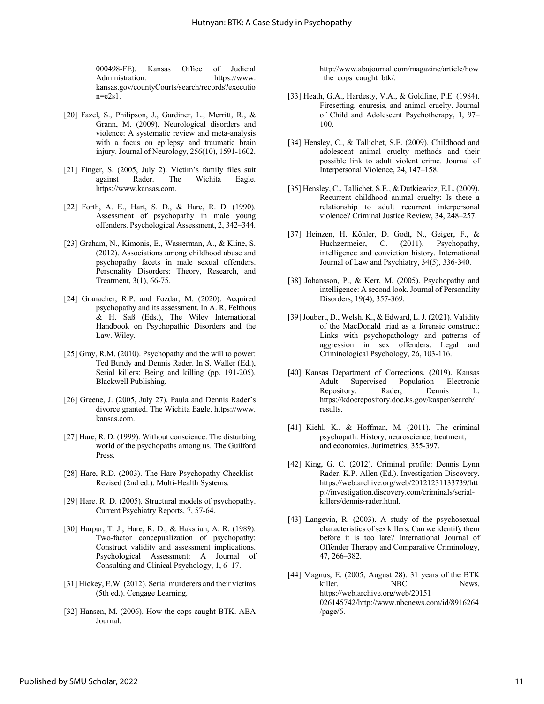000498-FE). Kansas Office of Judicial Administration. https://www. kansas.gov/countyCourts/search/records?executio  $n = e2s1$ .

- [20] Fazel, S., Philipson, J., Gardiner, L., Merritt, R., & Grann, M. (2009). Neurological disorders and violence: A systematic review and meta-analysis with a focus on epilepsy and traumatic brain injury. Journal of Neurology, 256(10), 1591-1602.
- [21] Finger, S. (2005, July 2). Victim's family files suit against Rader. The Wichita Eagle. https://www.kansas.com.
- [22] Forth, A. E., Hart, S. D., & Hare, R. D. (1990). Assessment of psychopathy in male young offenders. Psychological Assessment, 2, 342–344.
- [23] Graham, N., Kimonis, E., Wasserman, A., & Kline, S. (2012). Associations among childhood abuse and psychopathy facets in male sexual offenders. Personality Disorders: Theory, Research, and Treatment, 3(1), 66-75.
- [24] Granacher, R.P. and Fozdar, M. (2020). Acquired psychopathy and its assessment. In A. R. Felthous  $&$  H. Sa $\beta$  (Eds.), The Wiley International Handbook on Psychopathic Disorders and the Law. Wiley.
- [25] Gray, R.M. (2010). Psychopathy and the will to power: Ted Bundy and Dennis Rader. In S. Waller (Ed.), Serial killers: Being and killing (pp. 191-205). Blackwell Publishing.
- [26] Greene, J. (2005, July 27). Paula and Dennis Rader's divorce granted. The Wichita Eagle. https://www. kansas.com.
- [27] Hare, R. D. (1999). Without conscience: The disturbing world of the psychopaths among us. The Guilford Press.
- [28] Hare, R.D. (2003). The Hare Psychopathy Checklist-Revised (2nd ed.). Multi-Health Systems.
- [29] Hare. R. D. (2005). Structural models of psychopathy. Current Psychiatry Reports, 7, 57-64.
- [30] Harpur, T. J., Hare, R. D., & Hakstian, A. R. (1989). Two-factor concepualization of psychopathy: Construct validity and assessment implications. Psychological Assessment: A Journal of Consulting and Clinical Psychology, 1, 6–17.
- [31] Hickey, E.W. (2012). Serial murderers and their victims (5th ed.). Cengage Learning.
- [32] Hansen, M. (2006). How the cops caught BTK. ABA Journal.

http://www.abajournal.com/magazine/article/how the cops caught btk/.

- [33] Heath, G.A., Hardesty, V.A., & Goldfine, P.E. (1984). Firesetting, enuresis, and animal cruelty. Journal of Child and Adolescent Psychotherapy, 1, 97– 100.
- [34] Hensley, C., & Tallichet, S.E. (2009). Childhood and adolescent animal cruelty methods and their possible link to adult violent crime. Journal of Interpersonal Violence, 24, 147–158.
- [35] Hensley, C., Tallichet, S.E., & Dutkiewicz, E.L. (2009). Recurrent childhood animal cruelty: Is there a relationship to adult recurrent interpersonal violence? Criminal Justice Review, 34, 248–257.
- [37] Heinzen, H. Köhler, D. Godt, N., Geiger, F., & Huchzermeier, C. (2011). Psychopathy, intelligence and conviction history. International Journal of Law and Psychiatry, 34(5), 336-340.
- [38] Johansson, P., & Kerr, M. (2005). Psychopathy and intelligence: A second look. Journal of Personality Disorders, 19(4), 357-369.
- [39] Joubert, D., Welsh, K., & Edward, L. J. (2021). Validity of the MacDonald triad as a forensic construct: Links with psychopathology and patterns of aggression in sex offenders. Legal and Criminological Psychology, 26, 103-116.
- [40] Kansas Department of Corrections. (2019). Kansas Adult Supervised Population Electronic Repository: Rader, Dennis L. https://kdocrepository.doc.ks.gov/kasper/search/ results.
- [41] Kiehl, K., & Hoffman, M. (2011). The criminal psychopath: History, neuroscience, treatment, and economics. Jurimetrics, 355-397.
- [42] King, G. C. (2012). Criminal profile: Dennis Lynn Rader. K.P. Allen (Ed.). Investigation Discovery. https://web.archive.org/web/20121231133739/htt p://investigation.discovery.com/criminals/serialkillers/dennis-rader.html.
- [43] Langevin, R. (2003). A study of the psychosexual characteristics of sex killers: Can we identify them before it is too late? International Journal of Offender Therapy and Comparative Criminology, 47, 266–382.
- [44] Magnus, E. (2005, August 28). 31 years of the BTK killer. NBC News. https://web.archive.org/web/20151 026145742/http://www.nbcnews.com/id/8916264 /page/6.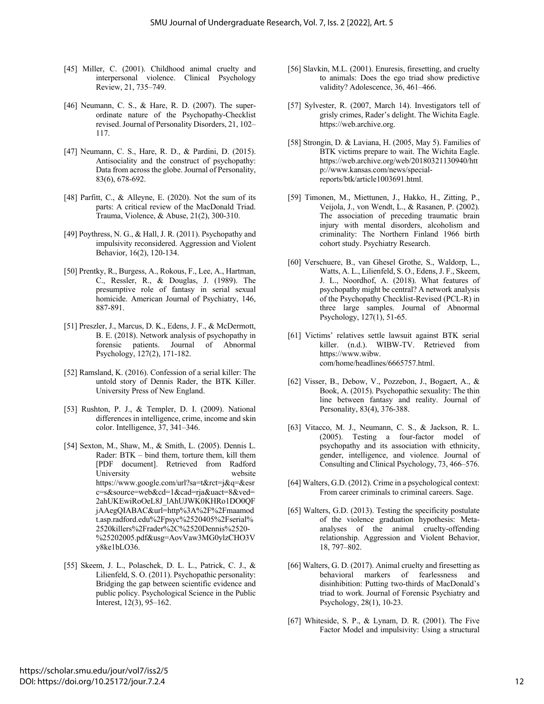- [45] Miller, C. (2001). Childhood animal cruelty and interpersonal violence. Clinical Psychology Review, 21, 735–749.
- [46] Neumann, C. S., & Hare, R. D. (2007). The superordinate nature of the Psychopathy-Checklist revised. Journal of Personality Disorders, 21, 102– 117.
- [47] Neumann, C. S., Hare, R. D., & Pardini, D. (2015). Antisociality and the construct of psychopathy: Data from across the globe. Journal of Personality, 83(6), 678-692.
- [48] Parfitt, C., & Alleyne, E. (2020). Not the sum of its parts: A critical review of the MacDonald Triad. Trauma, Violence, & Abuse, 21(2), 300-310.
- [49] Poythress, N. G., & Hall, J. R. (2011). Psychopathy and impulsivity reconsidered. Aggression and Violent Behavior, 16(2), 120-134.
- [50] Prentky, R., Burgess, A., Rokous, F., Lee, A., Hartman, C., Ressler, R., & Douglas, J. (1989). The presumptive role of fantasy in serial sexual homicide. American Journal of Psychiatry, 146, 887-891.
- [51] Preszler, J., Marcus, D. K., Edens, J. F., & McDermott, B. E. (2018). Network analysis of psychopathy in forensic patients. Journal of Abnormal Psychology, 127(2), 171-182.
- [52] Ramsland, K. (2016). Confession of a serial killer: The untold story of Dennis Rader, the BTK Killer. University Press of New England.
- [53] Rushton, P. J., & Templer, D. I. (2009). National differences in intelligence, crime, income and skin color. Intelligence, 37, 341–346.
- [54] Sexton, M., Shaw, M., & Smith, L. (2005). Dennis L. Rader: BTK – bind them, torture them, kill them [PDF document]. Retrieved from Radford University website https://www.google.com/url?sa=t&rct=j&q=&esr c=s&source=web&cd=1&cad=rja&uact=8&ved= 2ahUKEwiRoOeL8J\_lAhUJWK0KHRo1DO0QF jAAegQIABAC&url=http%3A%2F%2Fmaamod t.asp.radford.edu%2Fpsyc%2520405%2Fserial% 2520killers%2Frader%2C%2520Dennis%2520- %25202005.pdf&usg=AovVaw3MG0ylzCHO3V y8ke1bLO36.
- [55] Skeem, J. L., Polaschek, D. L. L., Patrick, C. J., & Lilienfeld, S. O. (2011). Psychopathic personality: Bridging the gap between scientific evidence and public policy. Psychological Science in the Public Interest, 12(3), 95–162.
- [56] Slavkin, M.L. (2001). Enuresis, firesetting, and cruelty to animals: Does the ego triad show predictive validity? Adolescence, 36, 461–466.
- [57] Sylvester, R. (2007, March 14). Investigators tell of grisly crimes, Rader's delight. The Wichita Eagle. https://web.archive.org.
- [58] Strongin, D. & Laviana, H. (2005, May 5). Families of BTK victims prepare to wait. The Wichita Eagle. https://web.archive.org/web/20180321130940/htt p://www.kansas.com/news/specialreports/btk/article1003691.html.
- [59] Timonen, M., Miettunen, J., Hakko, H., Zitting, P., Veijola, J., von Wendt, L., & Rasanen, P. (2002). The association of preceding traumatic brain injury with mental disorders, alcoholism and criminality: The Northern Finland 1966 birth cohort study. Psychiatry Research.
- [60] Verschuere, B., van Ghesel Grothe, S., Waldorp, L., Watts, A. L., Lilienfeld, S. O., Edens, J. F., Skeem, J. L., Noordhof, A. (2018). What features of psychopathy might be central? A network analysis of the Psychopathy Checklist-Revised (PCL-R) in three large samples. Journal of Abnormal Psychology, 127(1), 51-65.
- [61] Victims' relatives settle lawsuit against BTK serial killer. (n.d.). WIBW-TV. Retrieved from https://www.wibw. com/home/headlines/6665757.html.
- [62] Visser, B., Debow, V., Pozzebon, J., Bogaert, A., & Book, A. (2015). Psychopathic sexuality: The thin line between fantasy and reality. Journal of Personality, 83(4), 376-388.
- [63] Vitacco, M. J., Neumann, C. S., & Jackson, R. L. (2005). Testing a four-factor model of psychopathy and its association with ethnicity, gender, intelligence, and violence. Journal of Consulting and Clinical Psychology, 73, 466–576.
- [64] Walters, G.D. (2012). Crime in a psychological context: From career criminals to criminal careers. Sage.
- [65] Walters, G.D. (2013). Testing the specificity postulate of the violence graduation hypothesis: Metaanalyses of the animal cruelty-offending relationship. Aggression and Violent Behavior, 18, 797–802.
- [66] Walters, G. D. (2017). Animal cruelty and firesetting as behavioral markers of fearlessness and disinhibition: Putting two-thirds of MacDonald's triad to work. Journal of Forensic Psychiatry and Psychology, 28(1), 10-23.
- [67] Whiteside, S. P., & Lynam, D. R. (2001). The Five Factor Model and impulsivity: Using a structural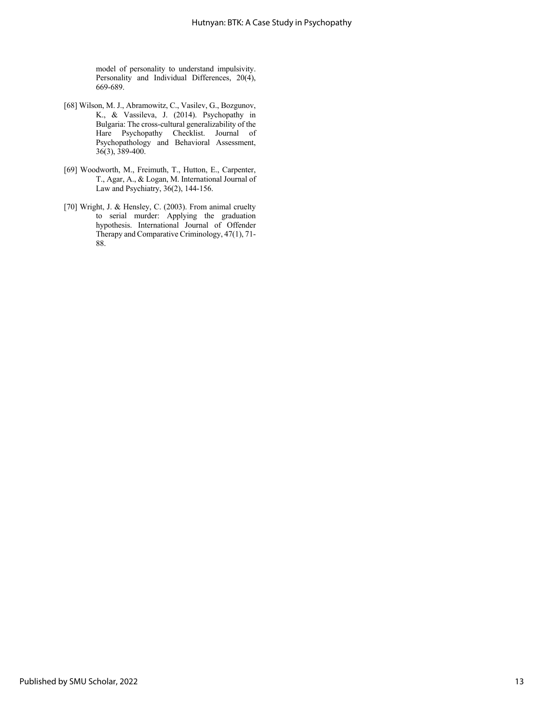model of personality to understand impulsivity. Personality and Individual Differences, 20(4), 669-689.

- [68] Wilson, M. J., Abramowitz, C., Vasilev, G., Bozgunov, K., & Vassileva, J. (2014). Psychopathy in Bulgaria: The cross-cultural generalizability of the Hare Psychopathy Checklist. Journal of Psychopathology and Behavioral Assessment, 36(3), 389-400.
- [69] Woodworth, M., Freimuth, T., Hutton, E., Carpenter, T., Agar, A., & Logan, M. International Journal of Law and Psychiatry, 36(2), 144-156.
- [70] Wright, J. & Hensley, C. (2003). From animal cruelty to serial murder: Applying the graduation hypothesis. International Journal of Offender Therapy and Comparative Criminology, 47(1), 71- 88.